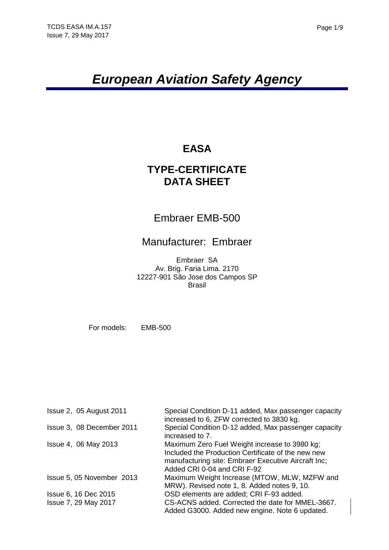# *European Aviation Safety Agency*

# **EASA**

# **TYPE-CERTIFICATE DATA SHEET**

# Embraer EMB-500

# Manufacturer: Embraer

Embraer SA Av. Brig. Faria Lima. 2170 12227-901 São Jose dos Campos SP Brasil

For models: EMB-500

| <b>Issue 2, 05 August 2011</b> | Special Condition D-11 added, Max passenger capacity<br>increased to 6, ZFW corrected to 3830 kg.                                                                                         |
|--------------------------------|-------------------------------------------------------------------------------------------------------------------------------------------------------------------------------------------|
| Issue 3, 08 December 2011      | Special Condition D-12 added, Max passenger capacity<br>increased to 7.                                                                                                                   |
| Issue 4, 06 May 2013           | Maximum Zero Fuel Weight increase to 3980 kg;<br>Included the Production Certificate of the new new<br>manufacturing site: Embraer Executive Aircraft Inc;<br>Added CRI 0-04 and CRI F-92 |
| Issue 5, 05 November 2013      | Maximum Weight Increase (MTOW, MLW, MZFW and<br>MRW). Revised note 1, 8. Added notes 9, 10.                                                                                               |
| Issue 6, 16 Dec 2015           | OSD elements are added; CRI F-93 added.                                                                                                                                                   |
| Issue 7, 29 May 2017           | CS-ACNS added. Corrected the date for MMEL-3667.<br>Added G3000. Added new engine. Note 6 updated.                                                                                        |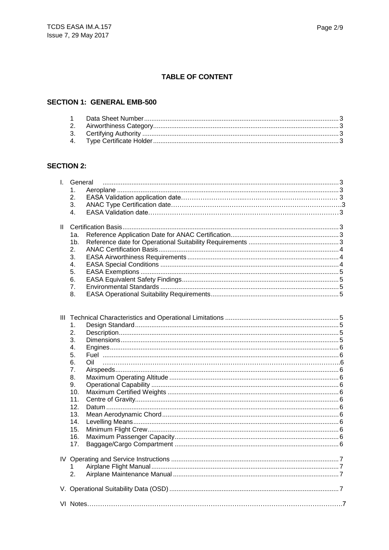### **TABLE OF CONTENT**

### **SECTION 1: GENERAL EMB-500**

### **SECTION 2:**

|    | I. General     |  |
|----|----------------|--|
|    | 1.             |  |
|    | 2.             |  |
|    | 3.             |  |
|    | 4.             |  |
|    |                |  |
| Ш. |                |  |
|    | 1a.            |  |
|    | 1 <sub>b</sub> |  |
|    | 2.             |  |
|    | 3.             |  |
|    | 4.             |  |
|    | 5.             |  |
|    | 6.             |  |
|    | 7.             |  |
|    | 8.             |  |
|    |                |  |
|    |                |  |
|    |                |  |
|    | 1.             |  |
|    | 2.             |  |
|    | 3.             |  |
|    | 4.             |  |
|    | 5.             |  |
|    | 6.<br>∩il      |  |
|    | 7.             |  |
|    | 8.             |  |
|    | 9.             |  |
|    | 10.            |  |
|    | 11.            |  |
|    | 12.            |  |
|    | 13.            |  |
|    | 14.            |  |
|    | 15.            |  |
|    |                |  |
|    | 16.<br>17.     |  |
|    |                |  |
|    |                |  |
|    |                |  |
|    | 1<br>2.        |  |
|    |                |  |
|    |                |  |
|    |                |  |
|    |                |  |
|    |                |  |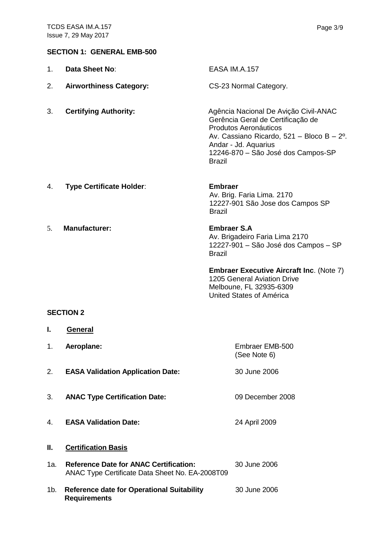#### **SECTION 1: GENERAL EMB-500**

| 1. | Data Sheet No:                           | <b>EASA IM.A.157</b>                                                                                                                                                                                                                      |
|----|------------------------------------------|-------------------------------------------------------------------------------------------------------------------------------------------------------------------------------------------------------------------------------------------|
| 2. | <b>Airworthiness Category:</b>           | CS-23 Normal Category.                                                                                                                                                                                                                    |
| 3. | <b>Certifying Authority:</b>             | Agência Nacional De Avição Civil-ANAC<br>Gerência Geral de Certificação de<br>Produtos Aeronáuticos<br>Av. Cassiano Ricardo, 521 - Bloco B - $2^{\circ}$ .<br>Andar - Jd. Aquarius<br>12246-870 - São José dos Campos-SP<br><b>Brazil</b> |
| 4. | <b>Type Certificate Holder:</b>          | <b>Embraer</b><br>Av. Brig. Faria Lima. 2170<br>12227-901 São Jose dos Campos SP<br><b>Brazil</b>                                                                                                                                         |
| 5. | <b>Manufacturer:</b>                     | <b>Embraer S.A</b><br>Av. Brigadeiro Faria Lima 2170<br>12227-901 - São José dos Campos - SP<br><b>Brazil</b>                                                                                                                             |
|    |                                          | <b>Embraer Executive Aircraft Inc. (Note 7)</b><br>1205 General Aviation Drive<br>Melboune, FL 32935-6309<br>United States of América                                                                                                     |
|    | <b>SECTION 2</b>                         |                                                                                                                                                                                                                                           |
| ı. |                                          |                                                                                                                                                                                                                                           |
|    | <b>General</b>                           |                                                                                                                                                                                                                                           |
| 1. | Aeroplane:                               | Embraer EMB-500<br>(See Note 6)                                                                                                                                                                                                           |
| 2. | <b>EASA Validation Application Date:</b> | 30 June 2006                                                                                                                                                                                                                              |
| 3. | <b>ANAC Type Certification Date:</b>     | 09 December 2008                                                                                                                                                                                                                          |
| 4. | <b>EASA Validation Date:</b>             | 24 April 2009                                                                                                                                                                                                                             |

- 1a. **Reference Date for ANAC Certification:** 30 June 2006 ANAC Type Certificate Data Sheet No. EA-2008T09
- 1b. **Reference date for Operational Suitability** 30 June 2006 **Requirements**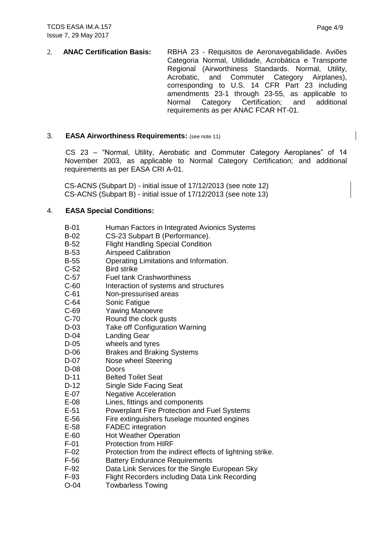2. **ANAC Certification Basis:** RBHA 23 - Requisitos de Aeronavegabilidade. Aviões Categoria Normal, Utilidade, Acrobática e Transporte Regional (Airworthiness Standards. Normal, Utility, Acrobatic, and Commuter Category Airplanes), Acrobatic, and Commuter Category Airplanes), corresponding to U.S. 14 CFR Part 23 including amendments 23-1 through 23-55, as applicable to Normal Category Certification; and additional requirements as per ANAC FCAR HT-01.

### 3. **EASA Airworthiness Requirements:** (see note 11)

CS 23 – "Normal, Utility, Aerobatic and Commuter Category Aeroplanes" of 14 November 2003, as applicable to Normal Category Certification; and additional requirements as per EASA CRI A-01.

CS-ACNS (Subpart D) - initial issue of 17/12/2013 (see note 12) CS-ACNS (Subpart B) - initial issue of 17/12/2013 (see note 13)

### 4. **EASA Special Conditions:**

- B-01 Human Factors in Integrated Avionics Systems
- B-02 CS-23 Subpart B (Performance).
- B-52 Flight Handling Special Condition
- B-53 Airspeed Calibration
- B-55 Operating Limitations and Information.
- C-52 Bird strike
- C-57 Fuel tank Crashworthiness
- C-60 Interaction of systems and structures
- C-61 Non-pressurised areas
- C-64 Sonic Fatigue
- C-69 Yawing Manoevre
- C-70 Round the clock gusts
- D-03 Take off Configuration Warning
- D-04 Landing Gear
- D-05 wheels and tyres
- D-06 Brakes and Braking Systems
- D-07 Nose wheel Steering
- D-08 Doors
- D-11 Belted Toilet Seat
- D-12 Single Side Facing Seat
- E-07 Negative Acceleration
- E-08 Lines, fittings and components
- E-51 Powerplant Fire Protection and Fuel Systems
- E-56 Fire extinguishers fuselage mounted engines
- E-58 FADEC integration
- E-60 Hot Weather Operation
- F-01 Protection from HIRF
- F-02 Protection from the indirect effects of lightning strike.
- F-56 Battery Endurance Requirements
- F-92 Data Link Services for the Single European Sky
- F-93 Flight Recorders including Data Link Recording
- O-04 Towbarless Towing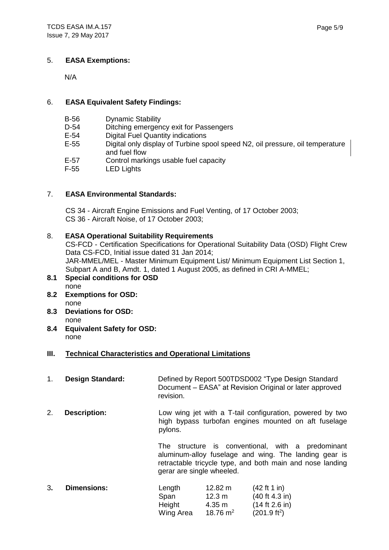#### 5. **EASA Exemptions:**

N/A

#### 6. **EASA Equivalent Safety Findings:**

- B-56 Dynamic Stability
- D-54 Ditching emergency exit for Passengers
- E-54 Digital Fuel Quantity indications
- E-55 Digital only display of Turbine spool speed N2, oil pressure, oil temperature and fuel flow
- E-57 Control markings usable fuel capacity
- F-55 LED Lights

### 7. **EASA Environmental Standards:**

CS 34 - Aircraft Engine Emissions and Fuel Venting, of 17 October 2003; CS 36 - Aircraft Noise, of 17 October 2003;

#### 8. **EASA Operational Suitability Requirements**

CS-FCD - Certification Specifications for Operational Suitability Data (OSD) Flight Crew Data CS-FCD, Initial issue dated 31 Jan 2014; JAR-MMEL/MEL - Master Minimum Equipment List/ Minimum Equipment List Section 1, Subpart A and B, Amdt. 1, dated 1 August 2005, as defined in CRI A-MMEL;

- **8.1 Special conditions for OSD** none
- **8.2 Exemptions for OSD:** none
- **8.3 Deviations for OSD:** none
- **8.4 Equivalent Safety for OSD:** none

#### **III. Technical Characteristics and Operational Limitations**

| 1. | <b>Design Standard:</b> | revision.                                                                                                                                                                                                                                                                                                                           |                                       | Defined by Report 500TDSD002 "Type Design Standard<br>Document - EASA" at Revision Original or later approved |
|----|-------------------------|-------------------------------------------------------------------------------------------------------------------------------------------------------------------------------------------------------------------------------------------------------------------------------------------------------------------------------------|---------------------------------------|---------------------------------------------------------------------------------------------------------------|
| 2. | <b>Description:</b>     | Low wing jet with a T-tail configuration, powered by two<br>high bypass turbofan engines mounted on aft fuselage<br>pylons.<br>The structure is conventional, with a predominant<br>aluminum-alloy fuselage and wing. The landing gear is<br>retractable tricycle type, and both main and nose landing<br>gerar are single wheeled. |                                       |                                                                                                               |
|    |                         |                                                                                                                                                                                                                                                                                                                                     |                                       |                                                                                                               |
| 3. | <b>Dimensions:</b>      | Length<br>Span<br>Height                                                                                                                                                                                                                                                                                                            | $12.82 \text{ m}$<br>12.3 m<br>4.35 m | (42 ft 1 in)<br>(40 ft 4.3 in)<br>(14 ft 2.6 in)                                                              |

Wing Area  $18.76 \text{ m}^2$ 

 $(201.9 ft<sup>2</sup>)$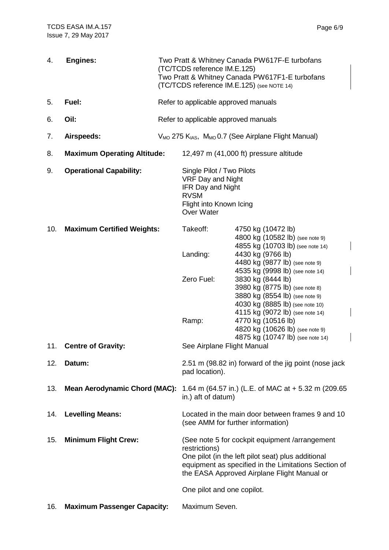| 4.  | <b>Engines:</b>                      |                                      | Two Pratt & Whitney Canada PW617F-E turbofans<br>(TC/TCDS reference IM.E.125)<br>Two Pratt & Whitney Canada PW617F1-E turbofans<br>(TC/TCDS reference IM.E.125) (see NOTE 14)                                                |                                                                                                                                                                                                                                     |  |
|-----|--------------------------------------|--------------------------------------|------------------------------------------------------------------------------------------------------------------------------------------------------------------------------------------------------------------------------|-------------------------------------------------------------------------------------------------------------------------------------------------------------------------------------------------------------------------------------|--|
| 5.  | Fuel:                                | Refer to applicable approved manuals |                                                                                                                                                                                                                              |                                                                                                                                                                                                                                     |  |
| 6.  | Oil:                                 |                                      | Refer to applicable approved manuals                                                                                                                                                                                         |                                                                                                                                                                                                                                     |  |
| 7.  | Airspeeds:                           |                                      | V <sub>MO</sub> 275 K <sub>IAS</sub> , M <sub>MO</sub> 0.7 (See Airplane Flight Manual)                                                                                                                                      |                                                                                                                                                                                                                                     |  |
| 8.  | <b>Maximum Operating Altitude:</b>   |                                      | 12,497 m (41,000 ft) pressure altitude                                                                                                                                                                                       |                                                                                                                                                                                                                                     |  |
| 9.  | <b>Operational Capability:</b>       |                                      | Single Pilot / Two Pilots<br>VRF Day and Night<br><b>IFR Day and Night</b><br><b>RVSM</b><br>Flight into Known Icing<br><b>Over Water</b>                                                                                    |                                                                                                                                                                                                                                     |  |
| 10. | <b>Maximum Certified Weights:</b>    |                                      | Takeoff:                                                                                                                                                                                                                     | 4750 kg (10472 lb)<br>4800 kg (10582 lb) (see note 9)<br>4855 kg (10703 lb) (see note 14)                                                                                                                                           |  |
|     |                                      |                                      | Landing:                                                                                                                                                                                                                     | 4430 kg (9766 lb)<br>4480 kg (9877 lb) (see note 9)                                                                                                                                                                                 |  |
|     |                                      |                                      | Zero Fuel:                                                                                                                                                                                                                   | 4535 kg (9998 lb) (see note 14)<br>3830 kg (8444 lb)                                                                                                                                                                                |  |
|     |                                      |                                      | Ramp:                                                                                                                                                                                                                        | 3980 kg (8775 lb) (see note 8)<br>3880 kg (8554 lb) (see note 9)<br>4030 kg (8885 lb) (see note 10)<br>4115 kg (9072 lb) (see note 14)<br>4770 kg (10516 lb)<br>4820 kg (10626 lb) (see note 9)<br>4875 kg (10747 lb) (see note 14) |  |
| 11. | <b>Centre of Gravity:</b>            |                                      | See Airplane Flight Manual                                                                                                                                                                                                   |                                                                                                                                                                                                                                     |  |
| 12. | Datum:                               |                                      | 2.51 m (98.82 in) forward of the jig point (nose jack<br>pad location).                                                                                                                                                      |                                                                                                                                                                                                                                     |  |
| 13. | <b>Mean Aerodynamic Chord (MAC):</b> |                                      | 1.64 m (64.57 in.) (L.E. of MAC at + 5.32 m (209.65<br>in.) aft of datum)                                                                                                                                                    |                                                                                                                                                                                                                                     |  |
| 14. | <b>Levelling Means:</b>              |                                      | Located in the main door between frames 9 and 10<br>(see AMM for further information)                                                                                                                                        |                                                                                                                                                                                                                                     |  |
| 15. | <b>Minimum Flight Crew:</b>          |                                      | (See note 5 for cockpit equipment /arrangement<br>restrictions)<br>One pilot (in the left pilot seat) plus additional<br>equipment as specified in the Limitations Section of<br>the EASA Approved Airplane Flight Manual or |                                                                                                                                                                                                                                     |  |
|     |                                      |                                      | One pilot and one copilot.                                                                                                                                                                                                   |                                                                                                                                                                                                                                     |  |
| 16. | <b>Maximum Passenger Capacity:</b>   |                                      | Maximum Seven.                                                                                                                                                                                                               |                                                                                                                                                                                                                                     |  |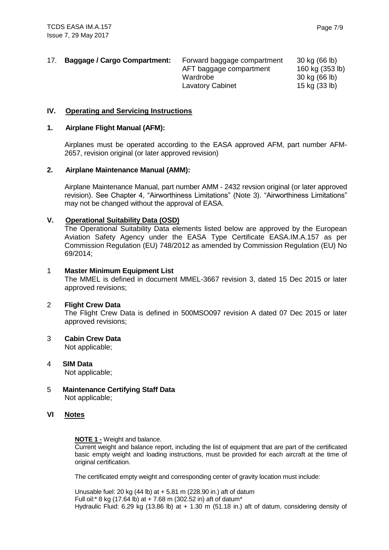| 17. | <b>Baggage / Cargo Compartment:</b> | Forward baggage compartment<br>AFT baggage compartment<br>Wardrobe<br><b>Lavatory Cabinet</b> | 30 kg (66 lb)<br>160 kg (353 lb)<br>30 kg (66 lb)<br>15 kg (33 lb) |
|-----|-------------------------------------|-----------------------------------------------------------------------------------------------|--------------------------------------------------------------------|
|     |                                     |                                                                                               |                                                                    |

#### **IV. Operating and Servicing Instructions**

#### **1. Airplane Flight Manual (AFM):**

Airplanes must be operated according to the EASA approved AFM, part number AFM-2657, revision original (or later approved revision)

#### **2. Airplane Maintenance Manual (AMM):**

Airplane Maintenance Manual, part number AMM - 2432 revsion original (or later approved revision). See Chapter 4, "Airworthiness Limitations" (Note 3). "Airworthiness Limitations" may not be changed without the approval of EASA.

#### **V. Operational Suitability Data (OSD)**

The Operational Suitability Data elements listed below are approved by the European Aviation Safety Agency under the EASA Type Certificate EASA.IM.A.157 as per Commission Regulation (EU) 748/2012 as amended by Commission Regulation (EU) No 69/2014;

#### 1 **Master Minimum Equipment List**

The MMEL is defined in document MMEL-3667 revision 3, dated 15 Dec 2015 or later approved revisions;

#### 2 **Flight Crew Data**

The Flight Crew Data is defined in 500MSO097 revision A dated 07 Dec 2015 or later approved revisions;

## 3 **Cabin Crew Data**

Not applicable;

- 4 **SIM Data** Not applicable;
- 5 **Maintenance Certifying Staff Data** Not applicable;

#### **VI Notes**

#### **NOTE 1 -** Weight and balance.

Current weight and balance report, including the list of equipment that are part of the certificated basic empty weight and loading instructions, must be provided for each aircraft at the time of original certification.

The certificated empty weight and corresponding center of gravity location must include:

Unusable fuel: 20 kg (44 lb) at + 5.81 m (228.90 in.) aft of datum Full oil:\* 8 kg (17.64 lb) at  $+ 7.68$  m (302.52 in) aft of datum\* Hydraulic Fluid: 6.29 kg (13.86 lb) at + 1.30 m (51.18 in.) aft of datum, considering density of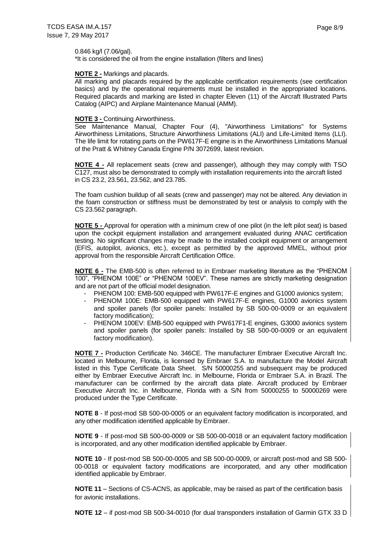0.846 kg/l (7.06/gal).

\*It is considered the oil from the engine installation (filters and lines)

#### **NOTE 2 -** Markings and placards.

All marking and placards required by the applicable certification requirements (see certification basics) and by the operational requirements must be installed in the appropriated locations. Required placards and marking are listed in chapter Eleven (11) of the Aircraft Illustrated Parts Catalog (AIPC) and Airplane Maintenance Manual (AMM).

#### **NOTE 3 -** Continuing Airworthiness.

See Maintenance Manual, Chapter Four (4), "Airworthiness Limitations" for Systems Airworthiness Limitations, Structure Airworthiness Limitations (ALI) and Life-Limited Items (LLI). The life limit for rotating parts on the PW617F-E engine is in the Airworthiness Limitations Manual of the Pratt & Whitney Canada Engine P/N 3072699, latest revision.

**NOTE 4 -** All replacement seats (crew and passenger), although they may comply with TSO C127, must also be demonstrated to comply with installation requirements into the aircraft listed in CS 23.2, 23.561, 23.562, and 23.785.

The foam cushion buildup of all seats (crew and passenger) may not be altered. Any deviation in the foam construction or stiffness must be demonstrated by test or analysis to comply with the CS 23.562 paragraph.

**NOTE 5 -** Approval for operation with a minimum crew of one pilot (in the left pilot seat) is based upon the cockpit equipment installation and arrangement evaluated during ANAC certification testing. No significant changes may be made to the installed cockpit equipment or arrangement (EFIS, autopilot, avionics, etc.), except as permitted by the approved MMEL, without prior approval from the responsible Aircraft Certification Office.

**NOTE 6 -** The EMB-500 is often referred to in Embraer marketing literature as the "PHENOM 100", "PHENOM 100E" or "PHENOM 100EV". These names are strictly marketing designation and are not part of the official model designation.

- PHENOM 100: EMB-500 equipped with PW617F-E engines and G1000 avionics system;
- PHENOM 100E: EMB-500 equipped with PW617F-E engines, G1000 avionics system and spoiler panels (for spoiler panels: Installed by SB 500-00-0009 or an equivalent factory modification);
- PHENOM 100EV: EMB-500 equipped with PW617F1-E engines, G3000 avionics system and spoiler panels (for spoiler panels: Installed by SB 500-00-0009 or an equivalent factory modification).

**NOTE 7 -** Production Certificate No. 346CE. The manufacturer Embraer Executive Aircraft Inc. located in Melbourne, Florida, is licensed by Embraer S.A. to manufacture the Model Aircraft listed in this Type Certificate Data Sheet. S/N 50000255 and subsequent may be produced either by Embraer Executive Aircraft Inc. in Melbourne, Florida or Embraer S.A. in Brazil. The manufacturer can be confirmed by the aircraft data plate. Aircraft produced by Embraer Executive Aircraft Inc. in Melbourne, Florida with a S/N from 50000255 to 50000269 were produced under the Type Certificate.

**NOTE 8** - If post-mod SB 500-00-0005 or an equivalent factory modification is incorporated, and any other modification identified applicable by Embraer.

**NOTE 9** - If post-mod SB 500-00-0009 or SB 500-00-0018 or an equivalent factory modification is incorporated, and any other modification identified applicable by Embraer.

**NOTE 10** - If post-mod SB 500-00-0005 and SB 500-00-0009, or aircraft post-mod and SB 500- 00-0018 or equivalent factory modifications are incorporated, and any other modification identified applicable by Embraer.

**NOTE 11** – Sections of CS-ACNS, as applicable, may be raised as part of the certification basis for avionic installations.

**NOTE 12** – if post-mod SB 500-34-0010 (for dual transponders installation of Garmin GTX 33 D